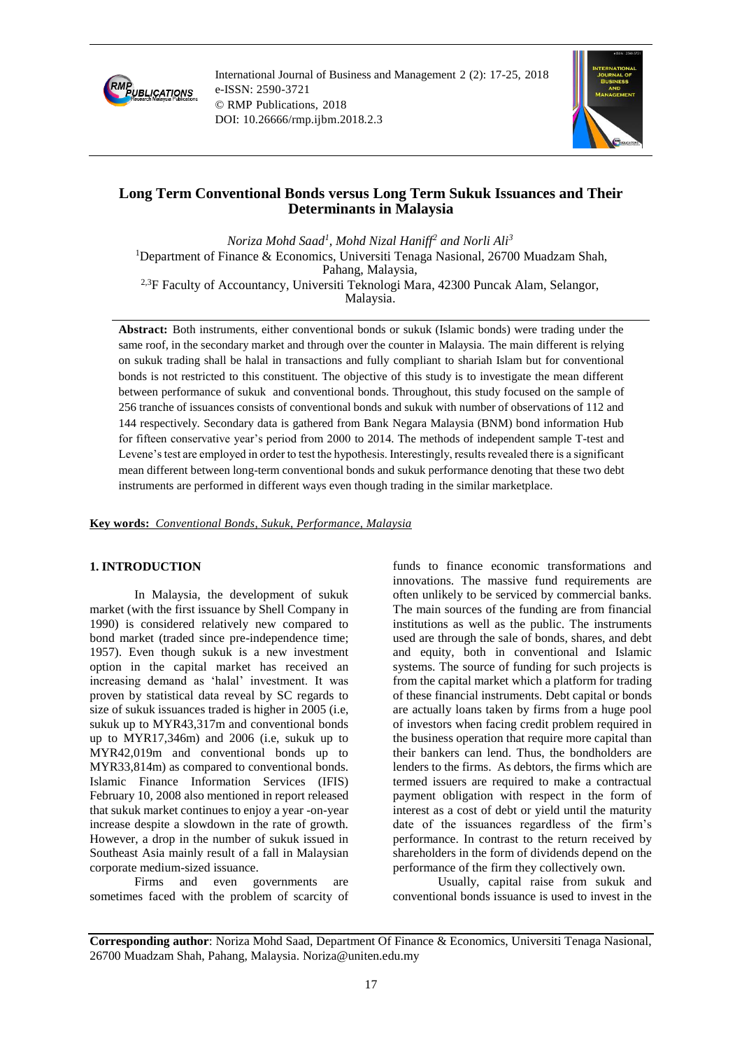

International Journal of Business and Management 2 (2): 17-25, 2018 e-ISSN: 2590-3721 © RMP Publications, 2018 DOI: 10.26666/rmp.ijbm.2018.2.3



# **Long Term Conventional Bonds versus Long Term Sukuk Issuances and Their Determinants in Malaysia**

*Noriza Mohd Saad<sup>1</sup> , Mohd Nizal Haniff<sup>2</sup> and Norli Ali<sup>3</sup>* <sup>1</sup>Department of Finance & Economics, Universiti Tenaga Nasional, 26700 Muadzam Shah, Pahang, Malaysia, 2,3F Faculty of Accountancy, Universiti Teknologi Mara, 42300 Puncak Alam, Selangor, Malaysia.

**Abstract:** Both instruments, either conventional bonds or sukuk (Islamic bonds) were trading under the same roof, in the secondary market and through over the counter in Malaysia. The main different is relying on sukuk trading shall be halal in transactions and fully compliant to shariah Islam but for conventional bonds is not restricted to this constituent. The objective of this study is to investigate the mean different between performance of sukuk and conventional bonds. Throughout, this study focused on the sample of 256 tranche of issuances consists of conventional bonds and sukuk with number of observations of 112 and 144 respectively. Secondary data is gathered from Bank Negara Malaysia (BNM) bond information Hub for fifteen conservative year's period from 2000 to 2014. The methods of independent sample T-test and Levene's test are employed in order to test the hypothesis. Interestingly, results revealed there is a significant mean different between long-term conventional bonds and sukuk performance denoting that these two debt instruments are performed in different ways even though trading in the similar marketplace.

#### **Key words:** *Conventional Bonds, Sukuk, Performance, Malaysia*

# **1. INTRODUCTION**

In Malaysia, the development of sukuk market (with the first issuance by Shell Company in 1990) is considered relatively new compared to bond market (traded since pre-independence time; 1957). Even though sukuk is a new investment option in the capital market has received an increasing demand as 'halal' investment. It was proven by statistical data reveal by SC regards to size of sukuk issuances traded is higher in 2005 (i.e, sukuk up to MYR43,317m and conventional bonds up to MYR17,346m) and 2006 (i.e, sukuk up to MYR42,019m and conventional bonds up to MYR33,814m) as compared to conventional bonds. Islamic Finance Information Services (IFIS) February 10, 2008 also mentioned in report released that sukuk market continues to enjoy a year -on-year increase despite a slowdown in the rate of growth. However, a drop in the number of sukuk issued in Southeast Asia mainly result of a fall in Malaysian corporate medium-sized issuance.

Firms and even governments are sometimes faced with the problem of scarcity of funds to finance economic transformations and innovations. The massive fund requirements are often unlikely to be serviced by commercial banks. The main sources of the funding are from financial institutions as well as the public. The instruments used are through the sale of bonds, shares, and debt and equity, both in conventional and Islamic systems. The source of funding for such projects is from the capital market which a platform for trading of these financial instruments. Debt capital or bonds are actually loans taken by firms from a huge pool of investors when facing credit problem required in the business operation that require more capital than their bankers can lend. Thus, the bondholders are lenders to the firms. As debtors, the firms which are termed issuers are required to make a contractual payment obligation with respect in the form of interest as a cost of debt or yield until the maturity date of the issuances regardless of the firm's performance. In contrast to the return received by shareholders in the form of dividends depend on the performance of the firm they collectively own.

Usually, capital raise from sukuk and conventional bonds issuance is used to invest in the

**Corresponding author**: Noriza Mohd Saad, Department Of Finance & Economics, Universiti Tenaga Nasional, 26700 Muadzam Shah, Pahang, Malaysia. Noriza@uniten.edu.my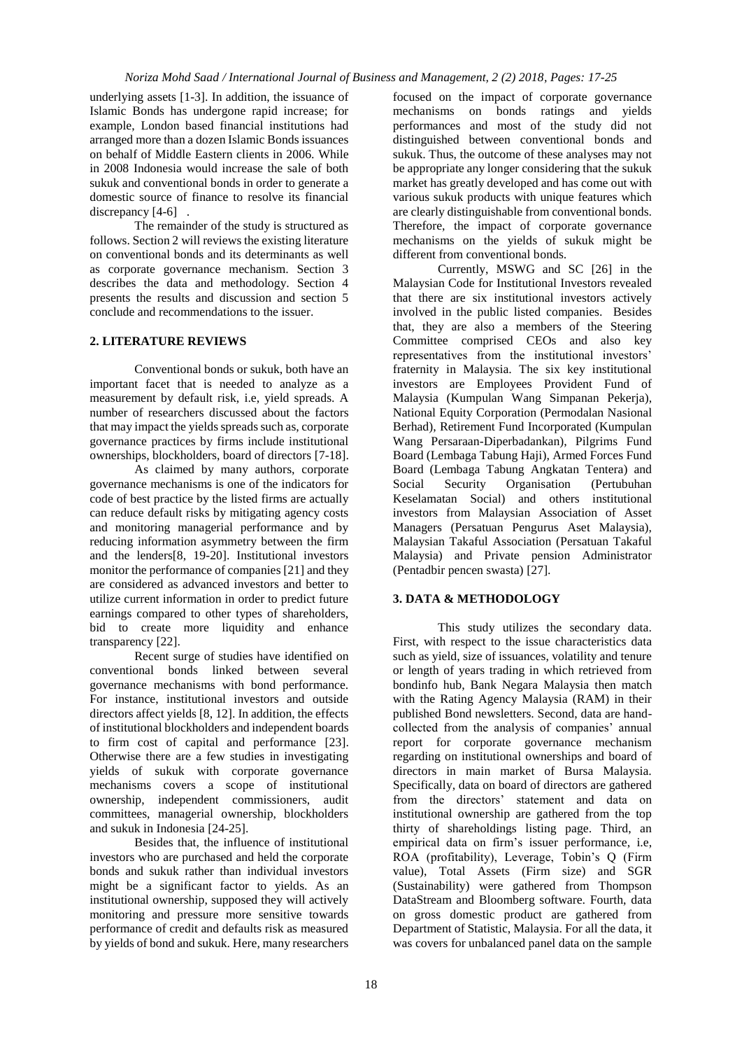underlying assets [1-3]. In addition, the issuance of Islamic Bonds has undergone rapid increase; for example, London based financial institutions had arranged more than a dozen Islamic Bonds issuances on behalf of Middle Eastern clients in 2006. While in 2008 Indonesia would increase the sale of both sukuk and conventional bonds in order to generate a domestic source of finance to resolve its financial discrepancy [4-6].

The remainder of the study is structured as follows. Section 2 will reviews the existing literature on conventional bonds and its determinants as well as corporate governance mechanism. Section 3 describes the data and methodology. Section 4 presents the results and discussion and section 5 conclude and recommendations to the issuer.

# **2. LITERATURE REVIEWS**

Conventional bonds or sukuk, both have an important facet that is needed to analyze as a measurement by default risk, i.e, yield spreads. A number of researchers discussed about the factors that may impact the yields spreads such as, corporate governance practices by firms include institutional ownerships, blockholders, board of directors [7-18].

As claimed by many authors, corporate governance mechanisms is one of the indicators for code of best practice by the listed firms are actually can reduce default risks by mitigating agency costs and monitoring managerial performance and by reducing information asymmetry between the firm and the lenders[8, 19-20]. Institutional investors monitor the performance of companies [21] and they are considered as advanced investors and better to utilize current information in order to predict future earnings compared to other types of shareholders, bid to create more liquidity and enhance transparency [22].

Recent surge of studies have identified on conventional bonds linked between several governance mechanisms with bond performance. For instance, institutional investors and outside directors affect yields [8, 12]. In addition, the effects of institutional blockholders and independent boards to firm cost of capital and performance [23]. Otherwise there are a few studies in investigating yields of sukuk with corporate governance mechanisms covers a scope of institutional ownership, independent commissioners, audit committees, managerial ownership, blockholders and sukuk in Indonesia [24-25].

Besides that, the influence of institutional investors who are purchased and held the corporate bonds and sukuk rather than individual investors might be a significant factor to yields. As an institutional ownership, supposed they will actively monitoring and pressure more sensitive towards performance of credit and defaults risk as measured by yields of bond and sukuk. Here, many researchers

focused on the impact of corporate governance mechanisms on bonds ratings and yields performances and most of the study did not distinguished between conventional bonds and sukuk. Thus, the outcome of these analyses may not be appropriate any longer considering that the sukuk market has greatly developed and has come out with various sukuk products with unique features which are clearly distinguishable from conventional bonds. Therefore, the impact of corporate governance mechanisms on the yields of sukuk might be different from conventional bonds.

Currently, MSWG and SC [26] in the Malaysian Code for Institutional Investors revealed that there are six institutional investors actively involved in the public listed companies. Besides that, they are also a members of the Steering Committee comprised CEOs and also key representatives from the institutional investors' fraternity in Malaysia. The six key institutional investors are Employees Provident Fund of Malaysia (Kumpulan Wang Simpanan Pekerja), National Equity Corporation (Permodalan Nasional Berhad), Retirement Fund Incorporated (Kumpulan Wang Persaraan-Diperbadankan), Pilgrims Fund Board (Lembaga Tabung Haji), Armed Forces Fund Board (Lembaga Tabung Angkatan Tentera) and Social Security Organisation (Pertubuhan Keselamatan Social) and others institutional investors from Malaysian Association of Asset Managers (Persatuan Pengurus Aset Malaysia), Malaysian Takaful Association (Persatuan Takaful Malaysia) and Private pension Administrator (Pentadbir pencen swasta) [27].

# **3. DATA & METHODOLOGY**

This study utilizes the secondary data. First, with respect to the issue characteristics data such as yield, size of issuances, volatility and tenure or length of years trading in which retrieved from bondinfo hub, Bank Negara Malaysia then match with the Rating Agency Malaysia (RAM) in their published Bond newsletters. Second, data are handcollected from the analysis of companies' annual report for corporate governance mechanism regarding on institutional ownerships and board of directors in main market of Bursa Malaysia. Specifically, data on board of directors are gathered from the directors' statement and data on institutional ownership are gathered from the top thirty of shareholdings listing page. Third, an empirical data on firm's issuer performance, i.e, ROA (profitability), Leverage, Tobin's Q (Firm value), Total Assets (Firm size) and SGR (Sustainability) were gathered from Thompson DataStream and Bloomberg software. Fourth, data on gross domestic product are gathered from Department of Statistic, Malaysia. For all the data, it was covers for unbalanced panel data on the sample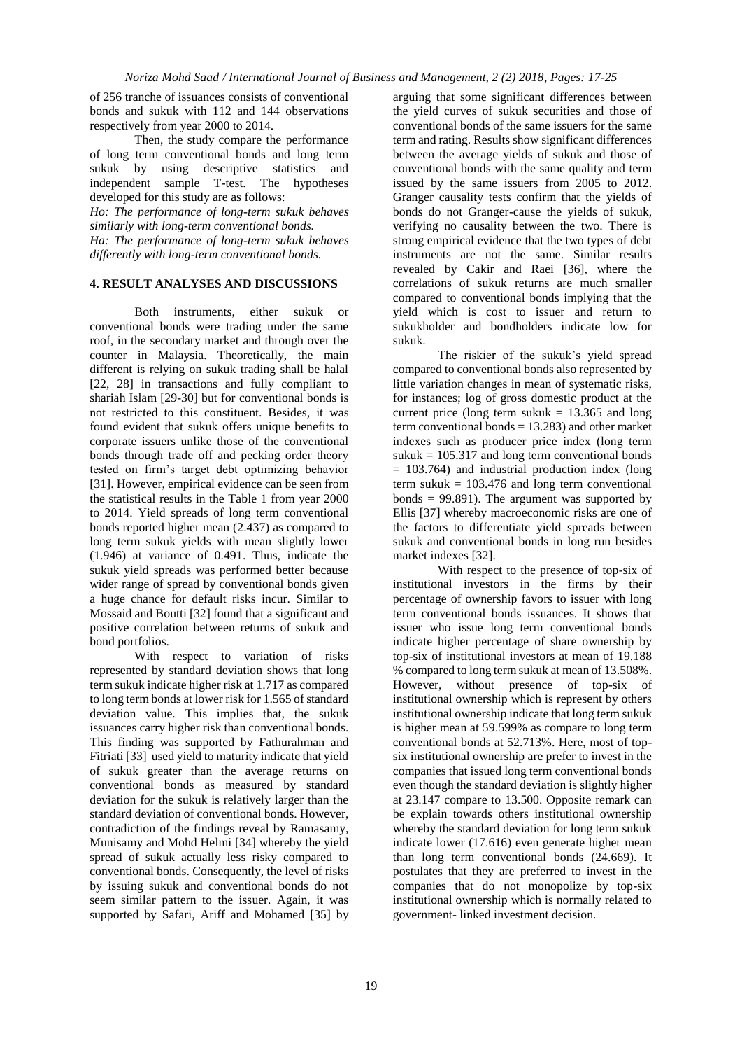of 256 tranche of issuances consists of conventional bonds and sukuk with 112 and 144 observations respectively from year 2000 to 2014.

Then, the study compare the performance of long term conventional bonds and long term sukuk by using descriptive statistics and independent sample T-test. The hypotheses developed for this study are as follows:

*Ho: The performance of long-term sukuk behaves similarly with long-term conventional bonds. Ha: The performance of long-term sukuk behaves differently with long-term conventional bonds.*

#### **4. RESULT ANALYSES AND DISCUSSIONS**

Both instruments, either sukuk or conventional bonds were trading under the same roof, in the secondary market and through over the counter in Malaysia. Theoretically, the main different is relying on sukuk trading shall be halal [22, 28] in transactions and fully compliant to shariah Islam [29-30] but for conventional bonds is not restricted to this constituent. Besides, it was found evident that sukuk offers unique benefits to corporate issuers unlike those of the conventional bonds through trade off and pecking order theory tested on firm's target debt optimizing behavior [31]. However, empirical evidence can be seen from the statistical results in the Table 1 from year 2000 to 2014. Yield spreads of long term conventional bonds reported higher mean (2.437) as compared to long term sukuk yields with mean slightly lower (1.946) at variance of 0.491. Thus, indicate the sukuk yield spreads was performed better because wider range of spread by conventional bonds given a huge chance for default risks incur. Similar to Mossaid and Boutti [32] found that a significant and positive correlation between returns of sukuk and bond portfolios.

With respect to variation of risks represented by standard deviation shows that long term sukuk indicate higher risk at 1.717 as compared to long term bonds at lower risk for 1.565 of standard deviation value. This implies that, the sukuk issuances carry higher risk than conventional bonds. This finding was supported by Fathurahman and Fitriati [33] used yield to maturity indicate that yield of sukuk greater than the average returns on conventional bonds as measured by standard deviation for the sukuk is relatively larger than the standard deviation of conventional bonds. However, contradiction of the findings reveal by Ramasamy, Munisamy and Mohd Helmi [34] whereby the yield spread of sukuk actually less risky compared to conventional bonds. Consequently, the level of risks by issuing sukuk and conventional bonds do not seem similar pattern to the issuer. Again, it was supported by Safari, Ariff and Mohamed [35] by

arguing that some significant differences between the yield curves of sukuk securities and those of conventional bonds of the same issuers for the same term and rating. Results show significant differences between the average yields of sukuk and those of conventional bonds with the same quality and term issued by the same issuers from 2005 to 2012. Granger causality tests confirm that the yields of bonds do not Granger-cause the yields of sukuk, verifying no causality between the two. There is strong empirical evidence that the two types of debt instruments are not the same. Similar results revealed by Cakir and Raei [36], where the correlations of sukuk returns are much smaller compared to conventional bonds implying that the yield which is cost to issuer and return to sukukholder and bondholders indicate low for sukuk.

The riskier of the sukuk's yield spread compared to conventional bonds also represented by little variation changes in mean of systematic risks, for instances; log of gross domestic product at the current price (long term sukuk  $= 13.365$  and long term conventional bonds  $= 13.283$ ) and other market indexes such as producer price index (long term sukuk  $= 105.317$  and long term conventional bonds  $= 103.764$ ) and industrial production index (long term sukuk  $= 103.476$  and long term conventional bonds  $= 99.891$ ). The argument was supported by Ellis [37] whereby macroeconomic risks are one of the factors to differentiate yield spreads between sukuk and conventional bonds in long run besides market indexes [32].

With respect to the presence of top-six of institutional investors in the firms by their percentage of ownership favors to issuer with long term conventional bonds issuances. It shows that issuer who issue long term conventional bonds indicate higher percentage of share ownership by top-six of institutional investors at mean of 19.188 % compared to long term sukuk at mean of 13.508%. However, without presence of top-six of institutional ownership which is represent by others institutional ownership indicate that long term sukuk is higher mean at 59.599% as compare to long term conventional bonds at 52.713%. Here, most of topsix institutional ownership are prefer to invest in the companies that issued long term conventional bonds even though the standard deviation is slightly higher at 23.147 compare to 13.500. Opposite remark can be explain towards others institutional ownership whereby the standard deviation for long term sukuk indicate lower (17.616) even generate higher mean than long term conventional bonds (24.669). It postulates that they are preferred to invest in the companies that do not monopolize by top-six institutional ownership which is normally related to government- linked investment decision.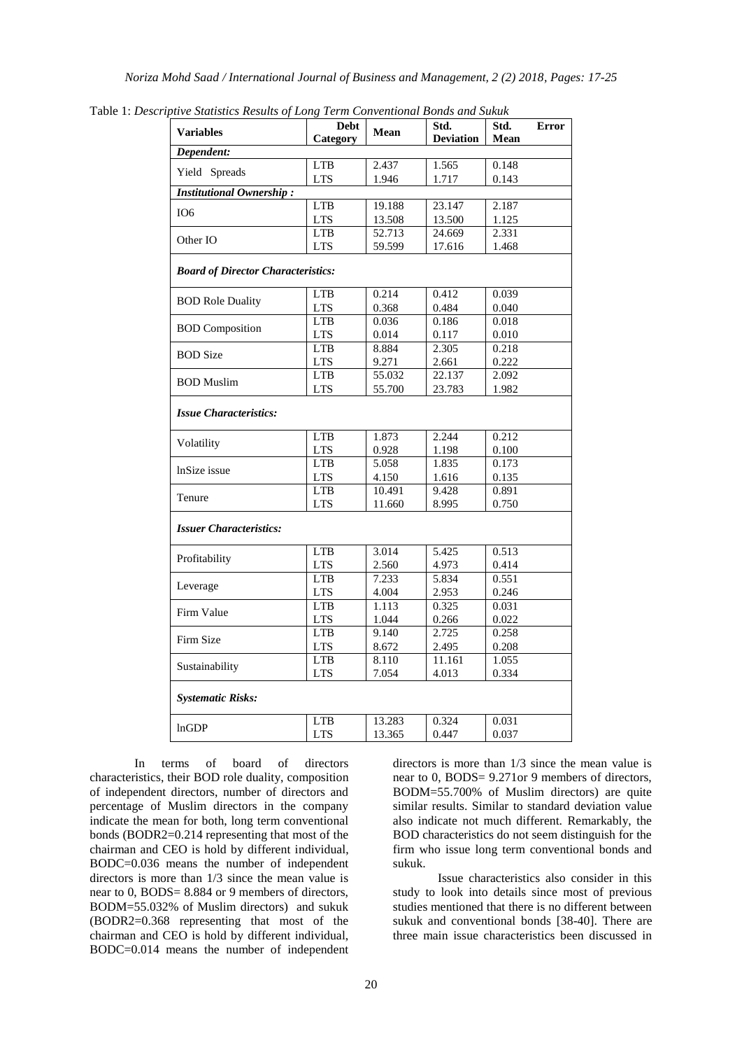| <b>Variables</b>                          | <b>Debt</b> | ptive Statistics Results of Long Term Conventional Bonds and Sukuk<br>Std.<br>Std.<br>Mean<br><b>Deviation</b><br>Mean | Error  |       |  |
|-------------------------------------------|-------------|------------------------------------------------------------------------------------------------------------------------|--------|-------|--|
|                                           | Category    |                                                                                                                        |        |       |  |
| Dependent:                                |             |                                                                                                                        |        |       |  |
| Yield Spreads                             | <b>LTB</b>  | 2.437                                                                                                                  | 1.565  | 0.148 |  |
| <b>Institutional Ownership:</b>           | <b>LTS</b>  | 1.946                                                                                                                  | 1.717  | 0.143 |  |
|                                           | <b>LTB</b>  | 19.188                                                                                                                 | 23.147 | 2.187 |  |
| IO <sub>6</sub>                           | <b>LTS</b>  | 13.508                                                                                                                 | 13.500 | 1.125 |  |
| Other IO                                  | <b>LTB</b>  | 52.713                                                                                                                 | 24.669 | 2.331 |  |
|                                           | <b>LTS</b>  | 59.599                                                                                                                 | 17.616 | 1.468 |  |
|                                           |             |                                                                                                                        |        |       |  |
| <b>Board of Director Characteristics:</b> |             |                                                                                                                        |        |       |  |
|                                           | <b>LTB</b>  | 0.214                                                                                                                  | 0.412  | 0.039 |  |
| <b>BOD Role Duality</b>                   | <b>LTS</b>  | 0.368                                                                                                                  | 0.484  | 0.040 |  |
| <b>BOD</b> Composition                    | <b>LTB</b>  | 0.036                                                                                                                  | 0.186  | 0.018 |  |
|                                           | <b>LTS</b>  | 0.014                                                                                                                  | 0.117  | 0.010 |  |
| <b>BOD</b> Size                           | <b>LTB</b>  | 8.884                                                                                                                  | 2.305  | 0.218 |  |
|                                           | <b>LTS</b>  | 9.271                                                                                                                  | 2.661  | 0.222 |  |
| <b>BOD</b> Muslim                         | <b>LTB</b>  | 55.032                                                                                                                 | 22.137 | 2.092 |  |
|                                           | <b>LTS</b>  | 55.700                                                                                                                 | 23.783 | 1.982 |  |
| <b>Issue Characteristics:</b>             |             |                                                                                                                        |        |       |  |
| Volatility                                | <b>LTB</b>  | 1.873                                                                                                                  | 2.244  | 0.212 |  |
|                                           | <b>LTS</b>  | 0.928                                                                                                                  | 1.198  | 0.100 |  |
| InSize issue                              | <b>LTB</b>  | 5.058                                                                                                                  | 1.835  | 0.173 |  |
|                                           | <b>LTS</b>  | 4.150                                                                                                                  | 1.616  | 0.135 |  |
| Tenure                                    | <b>LTB</b>  | 10.491                                                                                                                 | 9.428  | 0.891 |  |
|                                           | <b>LTS</b>  | 11.660                                                                                                                 | 8.995  | 0.750 |  |
| <b>Issuer Characteristics:</b>            |             |                                                                                                                        |        |       |  |
| Profitability                             | <b>LTB</b>  | 3.014                                                                                                                  | 5.425  | 0.513 |  |
|                                           | <b>LTS</b>  | 2.560                                                                                                                  | 4.973  | 0.414 |  |
| Leverage                                  | <b>LTB</b>  | 7.233                                                                                                                  | 5.834  | 0.551 |  |
|                                           | <b>LTS</b>  | 4.004                                                                                                                  | 2.953  | 0.246 |  |
| Firm Value                                | <b>LTB</b>  | 1.113                                                                                                                  | 0.325  | 0.031 |  |
|                                           | <b>LTS</b>  | 1.044                                                                                                                  | 0.266  | 0.022 |  |
| Firm Size                                 | <b>LTB</b>  | 9.140                                                                                                                  | 2.725  | 0.258 |  |
|                                           | <b>LTS</b>  | 8.672                                                                                                                  | 2.495  | 0.208 |  |
| Sustainability                            | <b>LTB</b>  | 8.110                                                                                                                  | 11.161 | 1.055 |  |
|                                           | <b>LTS</b>  | 7.054                                                                                                                  | 4.013  | 0.334 |  |
| <b>Systematic Risks:</b>                  |             |                                                                                                                        |        |       |  |
| lnGDP                                     | <b>LTB</b>  | 13.283                                                                                                                 | 0.324  | 0.031 |  |
|                                           | <b>LTS</b>  | 13.365                                                                                                                 | 0.447  | 0.037 |  |
|                                           |             |                                                                                                                        |        |       |  |

Table 1: *Descriptive Statistics Results of Long Term Conventional Bonds and Sukuk*

In terms of board of directors characteristics, their BOD role duality, composition of independent directors, number of directors and percentage of Muslim directors in the company indicate the mean for both, long term conventional bonds (BODR2=0.214 representing that most of the chairman and CEO is hold by different individual, BODC=0.036 means the number of independent directors is more than 1/3 since the mean value is near to 0, BODS= 8.884 or 9 members of directors, BODM=55.032% of Muslim directors) and sukuk (BODR2=0.368 representing that most of the chairman and CEO is hold by different individual, BODC=0.014 means the number of independent directors is more than 1/3 since the mean value is near to 0, BODS= 9.271or 9 members of directors, BODM=55.700% of Muslim directors) are quite similar results. Similar to standard deviation value also indicate not much different. Remarkably, the BOD characteristics do not seem distinguish for the firm who issue long term conventional bonds and sukuk.

Issue characteristics also consider in this study to look into details since most of previous studies mentioned that there is no different between sukuk and conventional bonds [38-40]. There are three main issue characteristics been discussed in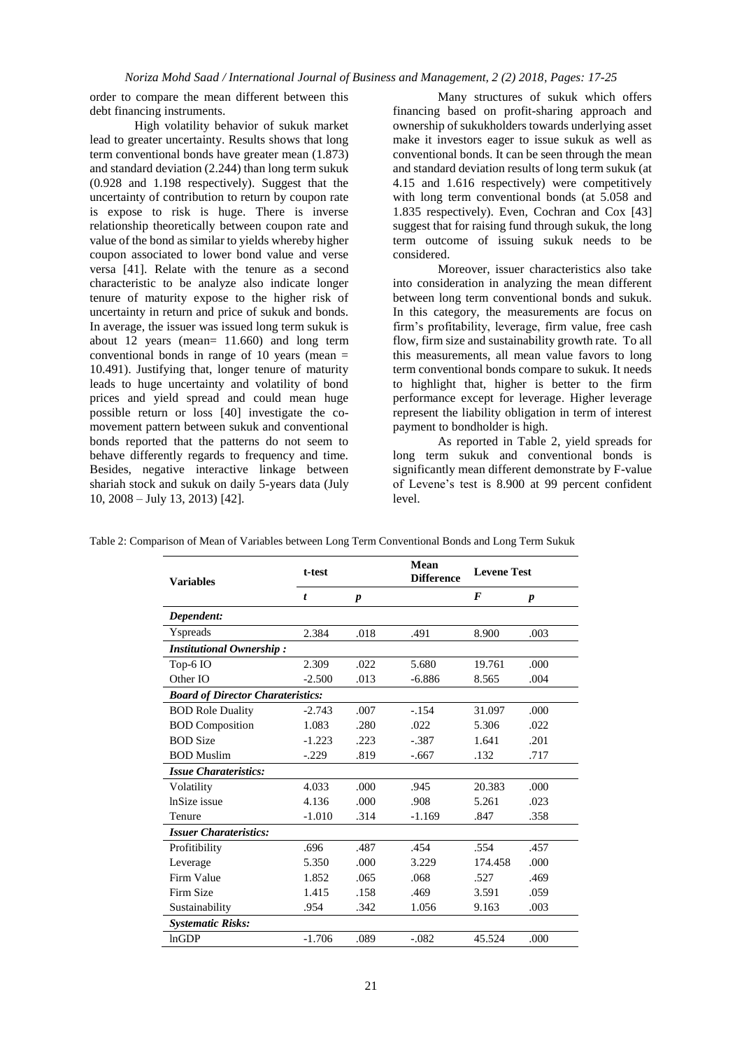*Noriza Mohd Saad / International Journal of Business and Management, 2 (2) 2018, Pages: 17-25*

order to compare the mean different between this debt financing instruments.

High volatility behavior of sukuk market lead to greater uncertainty. Results shows that long term conventional bonds have greater mean (1.873) and standard deviation (2.244) than long term sukuk (0.928 and 1.198 respectively). Suggest that the uncertainty of contribution to return by coupon rate is expose to risk is huge. There is inverse relationship theoretically between coupon rate and value of the bond as similar to yields whereby higher coupon associated to lower bond value and verse versa [41]. Relate with the tenure as a second characteristic to be analyze also indicate longer tenure of maturity expose to the higher risk of uncertainty in return and price of sukuk and bonds. In average, the issuer was issued long term sukuk is about 12 years (mean= 11.660) and long term conventional bonds in range of 10 years (mean = 10.491). Justifying that, longer tenure of maturity leads to huge uncertainty and volatility of bond prices and yield spread and could mean huge possible return or loss [40] investigate the comovement pattern between sukuk and conventional bonds reported that the patterns do not seem to behave differently regards to frequency and time. Besides, negative interactive linkage between shariah stock and sukuk on daily 5-years data (July 10, 2008 – July 13, 2013) [42].

Many structures of sukuk which offers financing based on profit-sharing approach and ownership of sukukholders towards underlying asset make it investors eager to issue sukuk as well as conventional bonds. It can be seen through the mean and standard deviation results of long term sukuk (at 4.15 and 1.616 respectively) were competitively with long term conventional bonds (at 5.058 and 1.835 respectively). Even, Cochran and Cox [43] suggest that for raising fund through sukuk, the long term outcome of issuing sukuk needs to be considered.

Moreover, issuer characteristics also take into consideration in analyzing the mean different between long term conventional bonds and sukuk. In this category, the measurements are focus on firm's profitability, leverage, firm value, free cash flow, firm size and sustainability growth rate. To all this measurements, all mean value favors to long term conventional bonds compare to sukuk. It needs to highlight that, higher is better to the firm performance except for leverage. Higher leverage represent the liability obligation in term of interest payment to bondholder is high.

As reported in Table 2, yield spreads for long term sukuk and conventional bonds is significantly mean different demonstrate by F-value of Levene's test is 8.900 at 99 percent confident level.

| <b>Variables</b>                         | t-test   |                  | Mean<br><b>Difference</b> | <b>Levene Test</b> |                  |  |  |  |
|------------------------------------------|----------|------------------|---------------------------|--------------------|------------------|--|--|--|
|                                          | t        | $\boldsymbol{p}$ |                           | F                  | $\boldsymbol{p}$ |  |  |  |
| Dependent:                               |          |                  |                           |                    |                  |  |  |  |
| Yspreads                                 | 2.384    | .018             | .491                      | 8.900              | .003             |  |  |  |
| <b>Institutional Ownership:</b>          |          |                  |                           |                    |                  |  |  |  |
| Top-6 IO                                 | 2.309    | .022             | 5.680                     | 19.761             | .000             |  |  |  |
| Other IO                                 | $-2.500$ | .013             | $-6.886$                  | 8.565              | .004             |  |  |  |
| <b>Board of Director Charateristics:</b> |          |                  |                           |                    |                  |  |  |  |
| <b>BOD Role Duality</b>                  | $-2.743$ | .007             | $-.154$                   | 31.097             | .000.            |  |  |  |
| <b>BOD</b> Composition                   | 1.083    | .280             | .022                      | 5.306              | .022             |  |  |  |
| <b>BOD</b> Size                          | $-1.223$ | .223             | $-.387$                   | 1.641              | .201             |  |  |  |
| <b>BOD</b> Muslim                        | $-.229$  | .819             | $-.667$                   | .132               | .717             |  |  |  |
| <b>Issue Charateristics:</b>             |          |                  |                           |                    |                  |  |  |  |
| Volatility                               | 4.033    | .000             | .945                      | 20.383             | .000             |  |  |  |
| InSize issue                             | 4.136    | .000             | .908                      | 5.261              | .023             |  |  |  |
| Tenure                                   | $-1.010$ | .314             | $-1.169$                  | .847               | .358             |  |  |  |
| <b>Issuer Charateristics:</b>            |          |                  |                           |                    |                  |  |  |  |
| Profitibility                            | .696     | .487             | .454                      | .554               | .457             |  |  |  |
| Leverage                                 | 5.350    | .000             | 3.229                     | 174.458            | .000             |  |  |  |
| Firm Value                               | 1.852    | .065             | .068                      | .527               | .469             |  |  |  |
| Firm Size                                | 1.415    | .158             | .469                      | 3.591              | .059             |  |  |  |
| Sustainability                           | .954     | .342             | 1.056                     | 9.163              | .003             |  |  |  |
| <b>Systematic Risks:</b>                 |          |                  |                           |                    |                  |  |  |  |
| lnGDP                                    | $-1.706$ | .089             | $-.082$                   | 45.524             | .000             |  |  |  |

Table 2: Comparison of Mean of Variables between Long Term Conventional Bonds and Long Term Sukuk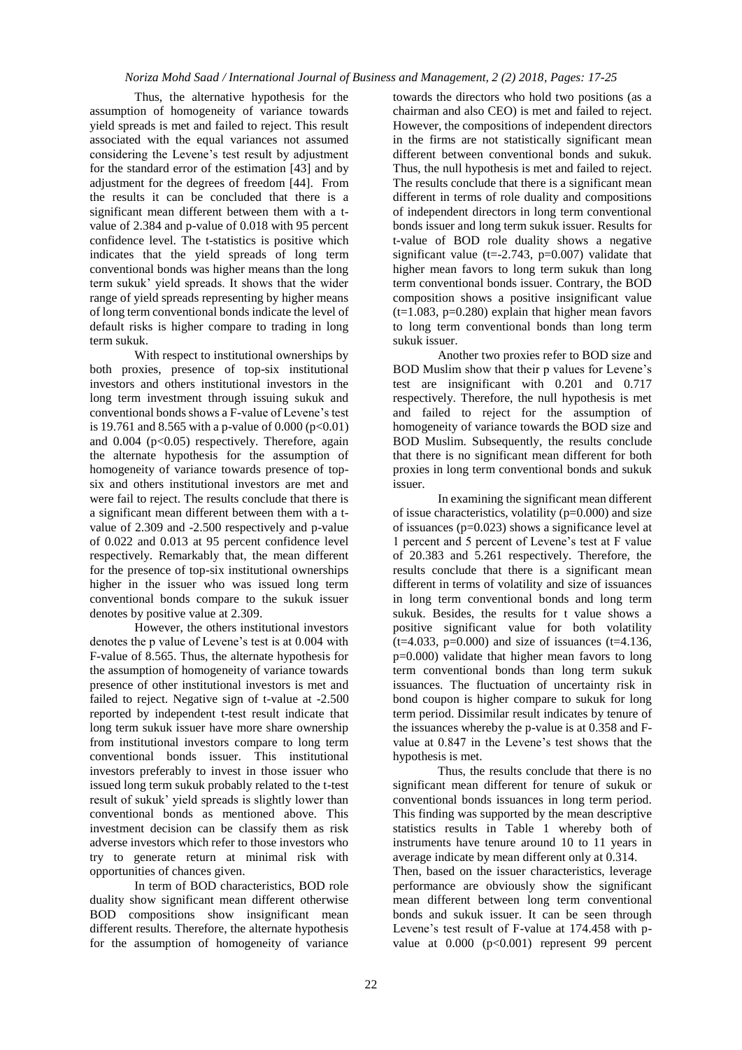Thus, the alternative hypothesis for the assumption of homogeneity of variance towards yield spreads is met and failed to reject. This result associated with the equal variances not assumed considering the Levene's test result by adjustment for the standard error of the estimation [43] and by adjustment for the degrees of freedom [44]. From the results it can be concluded that there is a significant mean different between them with a tvalue of 2.384 and p-value of 0.018 with 95 percent confidence level. The t-statistics is positive which indicates that the yield spreads of long term conventional bonds was higher means than the long term sukuk' yield spreads. It shows that the wider range of yield spreads representing by higher means of long term conventional bonds indicate the level of default risks is higher compare to trading in long term sukuk.

With respect to institutional ownerships by both proxies, presence of top-six institutional investors and others institutional investors in the long term investment through issuing sukuk and conventional bonds shows a F-value of Levene's test is 19.761 and 8.565 with a p-value of  $0.000$  (p<0.01) and  $0.004$  ( $p<0.05$ ) respectively. Therefore, again the alternate hypothesis for the assumption of homogeneity of variance towards presence of topsix and others institutional investors are met and were fail to reject. The results conclude that there is a significant mean different between them with a tvalue of 2.309 and -2.500 respectively and p-value of 0.022 and 0.013 at 95 percent confidence level respectively. Remarkably that, the mean different for the presence of top-six institutional ownerships higher in the issuer who was issued long term conventional bonds compare to the sukuk issuer denotes by positive value at 2.309.

However, the others institutional investors denotes the p value of Levene's test is at 0.004 with F-value of 8.565. Thus, the alternate hypothesis for the assumption of homogeneity of variance towards presence of other institutional investors is met and failed to reject. Negative sign of t-value at -2.500 reported by independent t-test result indicate that long term sukuk issuer have more share ownership from institutional investors compare to long term conventional bonds issuer. This institutional investors preferably to invest in those issuer who issued long term sukuk probably related to the t-test result of sukuk' yield spreads is slightly lower than conventional bonds as mentioned above. This investment decision can be classify them as risk adverse investors which refer to those investors who try to generate return at minimal risk with opportunities of chances given.

In term of BOD characteristics, BOD role duality show significant mean different otherwise BOD compositions show insignificant mean different results. Therefore, the alternate hypothesis for the assumption of homogeneity of variance

towards the directors who hold two positions (as a chairman and also CEO) is met and failed to reject. However, the compositions of independent directors in the firms are not statistically significant mean different between conventional bonds and sukuk. Thus, the null hypothesis is met and failed to reject. The results conclude that there is a significant mean different in terms of role duality and compositions of independent directors in long term conventional bonds issuer and long term sukuk issuer. Results for t-value of BOD role duality shows a negative significant value ( $t = -2.743$ ,  $p = 0.007$ ) validate that higher mean favors to long term sukuk than long term conventional bonds issuer. Contrary, the BOD composition shows a positive insignificant value  $(t=1.083, p=0.280)$  explain that higher mean favors to long term conventional bonds than long term sukuk issuer.

Another two proxies refer to BOD size and BOD Muslim show that their p values for Levene's test are insignificant with 0.201 and 0.717 respectively. Therefore, the null hypothesis is met and failed to reject for the assumption of homogeneity of variance towards the BOD size and BOD Muslim. Subsequently, the results conclude that there is no significant mean different for both proxies in long term conventional bonds and sukuk issuer.

In examining the significant mean different of issue characteristics, volatility ( $p=0.000$ ) and size of issuances ( $p=0.023$ ) shows a significance level at 1 percent and 5 percent of Levene's test at F value of 20.383 and 5.261 respectively. Therefore, the results conclude that there is a significant mean different in terms of volatility and size of issuances in long term conventional bonds and long term sukuk. Besides, the results for t value shows a positive significant value for both volatility  $(t=4.033, p=0.000)$  and size of issuances  $(t=4.136,$ p=0.000) validate that higher mean favors to long term conventional bonds than long term sukuk issuances. The fluctuation of uncertainty risk in bond coupon is higher compare to sukuk for long term period. Dissimilar result indicates by tenure of the issuances whereby the p-value is at 0.358 and Fvalue at 0.847 in the Levene's test shows that the hypothesis is met.

Thus, the results conclude that there is no significant mean different for tenure of sukuk or conventional bonds issuances in long term period. This finding was supported by the mean descriptive statistics results in Table 1 whereby both of instruments have tenure around 10 to 11 years in average indicate by mean different only at 0.314.

Then, based on the issuer characteristics, leverage performance are obviously show the significant mean different between long term conventional bonds and sukuk issuer. It can be seen through Levene's test result of F-value at 174.458 with pvalue at  $0.000$  (p<0.001) represent 99 percent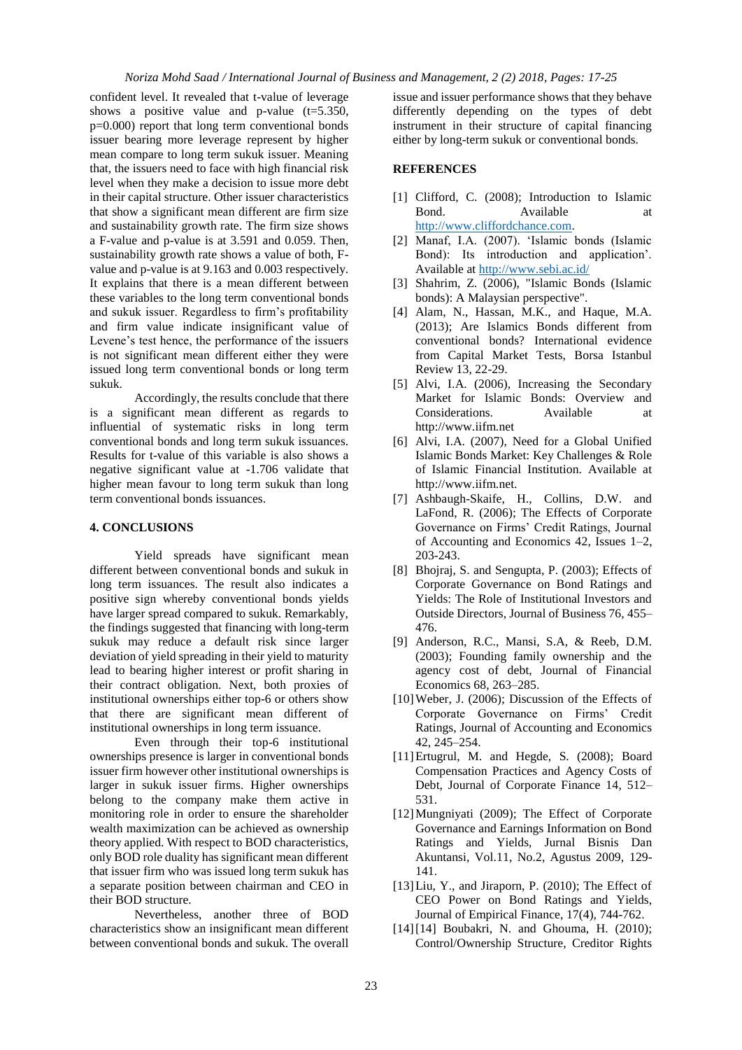confident level. It revealed that t-value of leverage shows a positive value and p-value  $(t=5.350,$ p=0.000) report that long term conventional bonds issuer bearing more leverage represent by higher mean compare to long term sukuk issuer. Meaning that, the issuers need to face with high financial risk level when they make a decision to issue more debt in their capital structure. Other issuer characteristics that show a significant mean different are firm size and sustainability growth rate. The firm size shows a F-value and p-value is at 3.591 and 0.059. Then, sustainability growth rate shows a value of both, Fvalue and p-value is at 9.163 and 0.003 respectively. It explains that there is a mean different between these variables to the long term conventional bonds and sukuk issuer. Regardless to firm's profitability and firm value indicate insignificant value of Levene's test hence, the performance of the issuers is not significant mean different either they were issued long term conventional bonds or long term sukuk.

Accordingly, the results conclude that there is a significant mean different as regards to influential of systematic risks in long term conventional bonds and long term sukuk issuances. Results for t-value of this variable is also shows a negative significant value at -1.706 validate that higher mean favour to long term sukuk than long term conventional bonds issuances.

### **4. CONCLUSIONS**

Yield spreads have significant mean different between conventional bonds and sukuk in long term issuances. The result also indicates a positive sign whereby conventional bonds yields have larger spread compared to sukuk. Remarkably, the findings suggested that financing with long-term sukuk may reduce a default risk since larger deviation of yield spreading in their yield to maturity lead to bearing higher interest or profit sharing in their contract obligation. Next, both proxies of institutional ownerships either top-6 or others show that there are significant mean different of institutional ownerships in long term issuance.

Even through their top-6 institutional ownerships presence is larger in conventional bonds issuer firm however other institutional ownerships is larger in sukuk issuer firms. Higher ownerships belong to the company make them active in monitoring role in order to ensure the shareholder wealth maximization can be achieved as ownership theory applied. With respect to BOD characteristics, only BOD role duality has significant mean different that issuer firm who was issued long term sukuk has a separate position between chairman and CEO in their BOD structure.

Nevertheless, another three of BOD characteristics show an insignificant mean different between conventional bonds and sukuk. The overall

issue and issuer performance shows that they behave differently depending on the types of debt instrument in their structure of capital financing either by long-term sukuk or conventional bonds.

#### **REFERENCES**

- [1] Clifford, C. (2008); Introduction to Islamic Bond. Available at [http://www.cliffordchance.com.](http://www.cliffordchance.com/)
- [2] Manaf, I.A. (2007). 'Islamic bonds (Islamic Bond): Its introduction and application'. Available at<http://www.sebi.ac.id/>
- [3] Shahrim, Z. (2006), "Islamic Bonds (Islamic bonds): A Malaysian perspective".
- [4] Alam, N., Hassan, M.K., and Haque, M.A. (2013); Are Islamics Bonds different from conventional bonds? International evidence from Capital Market Tests, Borsa Istanbul Review 13, 22-29.
- [5] Alvi, I.A. (2006), Increasing the Secondary Market for Islamic Bonds: Overview and Considerations. Available at http://www.iifm.net
- [6] Alvi, I.A. (2007), Need for a Global Unified Islamic Bonds Market: Key Challenges & Role of Islamic Financial Institution. Available at http://www.iifm.net.
- [7] Ashbaugh-Skaife, H., Collins, D.W. and LaFond, R. (2006); The Effects of Corporate Governance on Firms' Credit Ratings, Journal of Accounting and Economics 42, Issues 1–2, 203-243.
- [8] Bhoirai, S. and Sengupta, P. (2003); Effects of Corporate Governance on Bond Ratings and Yields: The Role of Institutional Investors and Outside Directors, Journal of Business 76, 455– 476.
- [9] Anderson, R.C., Mansi, S.A, & Reeb, D.M. (2003); Founding family ownership and the agency cost of debt, Journal of Financial Economics 68, 263–285.
- [10] Weber, J. (2006); Discussion of the Effects of Corporate Governance on Firms' Credit Ratings, Journal of Accounting and Economics 42, 245–254.
- [11]Ertugrul, M. and Hegde, S. (2008); Board Compensation Practices and Agency Costs of Debt, Journal of Corporate Finance 14, 512– 531.
- [12]Mungniyati (2009); The Effect of Corporate Governance and Earnings Information on Bond Ratings and Yields, Jurnal Bisnis Dan Akuntansi, Vol.11, No.2, Agustus 2009, 129- 141.
- [13] Liu, Y., and Jiraporn, P. (2010); The Effect of CEO Power on Bond Ratings and Yields, Journal of Empirical Finance, 17(4), 744-762.
- [14][14] Boubakri, N. and Ghouma, H. (2010); Control/Ownership Structure, Creditor Rights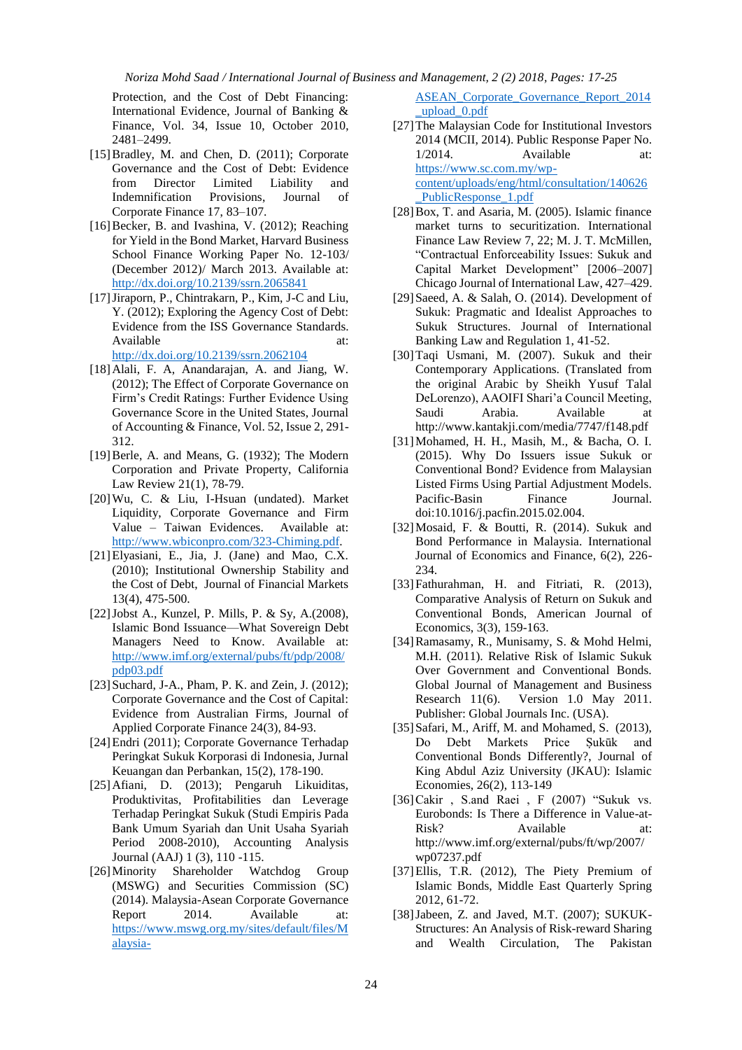Protection, and the Cost of Debt Financing: International Evidence, Journal of Banking & Finance, Vol. 34, Issue 10, October 2010, 2481–2499.

- [15]Bradley, M. and Chen, D. (2011); Corporate Governance and the Cost of Debt: Evidence from Director Limited Liability and Indemnification Provisions, Journal of Corporate Finance 17, 83–107.
- [16] Becker, B. and Ivashina, V. (2012); Reaching for Yield in the Bond Market, Harvard Business School Finance Working Paper No. 12-103/ (December 2012)/ March 2013. Available at: <http://dx.doi.org/10.2139/ssrn.2065841>
- [17]Jiraporn, P., Chintrakarn, P., Kim, J-C and Liu, Y. (2012); Exploring the Agency Cost of Debt: Evidence from the ISS Governance Standards. Available at: at: <http://dx.doi.org/10.2139/ssrn.2062104>

- [18]Alali, F. A, Anandarajan, A. and Jiang, W. (2012); The Effect of Corporate Governance on Firm's Credit Ratings: Further Evidence Using Governance Score in the United States, Journal of Accounting & Finance, Vol. 52, Issue 2, 291- 312.
- [19]Berle, A. and Means, G. (1932); The Modern Corporation and Private Property, California Law Review 21(1), 78-79.
- [20]Wu, C. & Liu, I-Hsuan (undated). Market Liquidity, Corporate Governance and Firm Value – Taiwan Evidences. Available at: [http://www.wbiconpro.com/323-Chiming.pdf.](http://www.wbiconpro.com/323-Chiming.pdf)
- [21]Elyasiani, E., Jia, J. (Jane) and Mao, C.X. (2010); Institutional Ownership Stability and the Cost of Debt, Journal of Financial Markets 13(4), 475-500.
- [22]Jobst A., Kunzel, P. Mills, P. & Sy, A.(2008), Islamic Bond Issuance—What Sovereign Debt Managers Need to Know. Available at: [http://www.imf.org/external/pubs/ft/pdp/2008/](http://www.imf.org/external/pubs/ft/pdp/2008/pdp03.pdf) [pdp03.pdf](http://www.imf.org/external/pubs/ft/pdp/2008/pdp03.pdf)
- [23] Suchard, J-A., Pham, P. K. and Zein, J. (2012); Corporate Governance and the Cost of Capital: Evidence from Australian Firms, Journal of Applied Corporate Finance 24(3), 84-93.
- [24]Endri (2011); Corporate Governance Terhadap Peringkat Sukuk Korporasi di Indonesia, Jurnal Keuangan dan Perbankan, 15(2), 178-190.
- [25]Afiani, D. (2013); Pengaruh Likuiditas, Produktivitas, Profitabilities dan Leverage Terhadap Peringkat Sukuk (Studi Empiris Pada Bank Umum Syariah dan Unit Usaha Syariah Period 2008-2010), Accounting Analysis Journal (AAJ) 1 (3), 110 -115.
- [26]Minority Shareholder Watchdog Group (MSWG) and Securities Commission (SC) (2014). Malaysia-Asean Corporate Governance Report 2014. Available at: [https://www.mswg.org.my/sites/default/files/M](https://www.mswg.org.my/sites/default/files/Malaysia-ASEAN_Corporate_Governance_Report_2014_upload_0.pdf) [alaysia-](https://www.mswg.org.my/sites/default/files/Malaysia-ASEAN_Corporate_Governance_Report_2014_upload_0.pdf)

[ASEAN\\_Corporate\\_Governance\\_Report\\_2014](https://www.mswg.org.my/sites/default/files/Malaysia-ASEAN_Corporate_Governance_Report_2014_upload_0.pdf) [\\_upload\\_0.pdf](https://www.mswg.org.my/sites/default/files/Malaysia-ASEAN_Corporate_Governance_Report_2014_upload_0.pdf)

[27]The Malaysian Code for Institutional Investors 2014 (MCII, 2014). Public Response Paper No. 1/2014. Available at: [https://www.sc.com.my/wp](https://www.sc.com.my/wp-content/uploads/eng/html/consultation/140626_PublicResponse_1.pdf)[content/uploads/eng/html/consultation/140626](https://www.sc.com.my/wp-content/uploads/eng/html/consultation/140626_PublicResponse_1.pdf) PublicResponse\_1.pdf

- [28]Box, T. and Asaria, M. (2005). Islamic finance market turns to securitization. International Finance Law Review 7, 22; M. J. T. McMillen, "Contractual Enforceability Issues: Sukuk and Capital Market Development" [2006–2007] Chicago Journal of International Law, 427–429.
- [29] Saeed, A. & Salah, O. (2014). Development of Sukuk: Pragmatic and Idealist Approaches to Sukuk Structures. Journal of International Banking Law and Regulation 1, 41-52.
- [30]Taqi Usmani, M. (2007). Sukuk and their Contemporary Applications. (Translated from the original Arabic by Sheikh Yusuf Talal DeLorenzo), AAOIFI Shari'a Council Meeting, Saudi Arabia. Available at http://www.kantakji.com/media/7747/f148.pdf
- [31]Mohamed, H. H., Masih, M., & Bacha, O. I. (2015). Why Do Issuers issue Sukuk or Conventional Bond? Evidence from Malaysian Listed Firms Using Partial Adjustment Models. Pacific-Basin Finance Journal. doi:10.1016/j.pacfin.2015.02.004.
- [32]Mosaid, F. & Boutti, R. (2014). Sukuk and Bond Performance in Malaysia. International Journal of Economics and Finance, 6(2), 226- 234.
- [33] Fathurahman, H. and Fitriati, R. (2013), Comparative Analysis of Return on Sukuk and Conventional Bonds, American Journal of Economics, 3(3), 159-163.
- [34]Ramasamy, R., Munisamy, S. & Mohd Helmi, M.H. (2011). Relative Risk of Islamic Sukuk Over Government and Conventional Bonds. Global Journal of Management and Business Research 11(6). Version 1.0 May 2011. Publisher: Global Journals Inc. (USA).
- [35] Safari, M., Ariff, M. and Mohamed, S. (2013), Do Debt Markets Price Ṣukūk and Conventional Bonds Differently?, Journal of King Abdul Aziz University (JKAU): Islamic Economies, 26(2), 113-149
- [36]Cakir , S.and Raei , F (2007) "Sukuk vs. Eurobonds: Is There a Difference in Value-at-Risk? Available at: http://www.imf.org/external/pubs/ft/wp/2007/ wp07237.pdf
- [37]Ellis, T.R. (2012), The Piety Premium of Islamic Bonds, Middle East Quarterly Spring 2012, 61-72.
- [38]Jabeen, Z. and Javed, M.T. (2007); SUKUK-Structures: An Analysis of Risk-reward Sharing and Wealth Circulation, The Pakistan